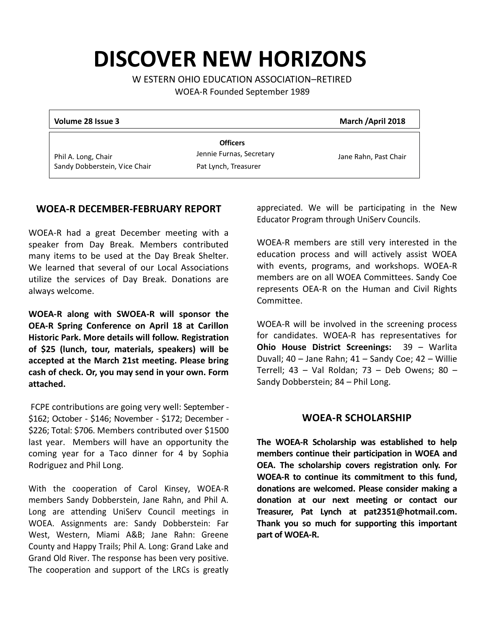# **DISCOVER NEW HORIZONS**

W ESTERN OHIO EDUCATION ASSOCIATION–RETIRED

WOEA-R Founded September 1989

| Volume 28 Issue 3                                    |                                                                     | March / April 2018    |
|------------------------------------------------------|---------------------------------------------------------------------|-----------------------|
| Phil A. Long, Chair<br>Sandy Dobberstein, Vice Chair | <b>Officers</b><br>Jennie Furnas, Secretary<br>Pat Lynch, Treasurer | Jane Rahn, Past Chair |

#### **WOEA-R DECEMBER-FEBRUARY REPORT**

WOEA-R had a great December meeting with a speaker from Day Break. Members contributed many items to be used at the Day Break Shelter. We learned that several of our Local Associations utilize the services of Day Break. Donations are always welcome.

**WOEA-R along with SWOEA-R will sponsor the OEA-R Spring Conference on April 18 at Carillon Historic Park. More details will follow. Registration of \$25 (lunch, tour, materials, speakers) will be accepted at the March 21st meeting. Please bring cash of check. Or, you may send in your own. Form attached.** 

FCPE contributions are going very well: September - \$162; October - \$146; November - \$172; December - \$226; Total: \$706. Members contributed over \$1500 last year. Members will have an opportunity the coming year for a Taco dinner for 4 by Sophia Rodriguez and Phil Long.

With the cooperation of Carol Kinsey, WOEA-R members Sandy Dobberstein, Jane Rahn, and Phil A. Long are attending UniServ Council meetings in WOEA. Assignments are: Sandy Dobberstein: Far West, Western, Miami A&B; Jane Rahn: Greene County and Happy Trails; Phil A. Long: Grand Lake and Grand Old River. The response has been very positive. The cooperation and support of the LRCs is greatly

appreciated. We will be participating in the New Educator Program through UniServ Councils.

WOEA-R members are still very interested in the education process and will actively assist WOEA with events, programs, and workshops. WOEA-R members are on all WOEA Committees. Sandy Coe represents OEA-R on the Human and Civil Rights Committee.

WOEA-R will be involved in the screening process for candidates. WOEA-R has representatives for **Ohio House District Screenings:** 39 – Warlita Duvall; 40 – Jane Rahn; 41 – Sandy Coe; 42 – Willie Terrell; 43 – Val Roldan; 73 – Deb Owens; 80 – Sandy Dobberstein; 84 – Phil Long.

#### **WOEA-R SCHOLARSHIP**

**The WOEA-R Scholarship was established to help members continue their participation in WOEA and OEA. The scholarship covers registration only. For WOEA-R to continue its commitment to this fund, donations are welcomed. Please consider making a donation at our next meeting or contact our Treasurer, Pat Lynch at pat2351@hotmail.com. Thank you so much for supporting this important part of WOEA-R.**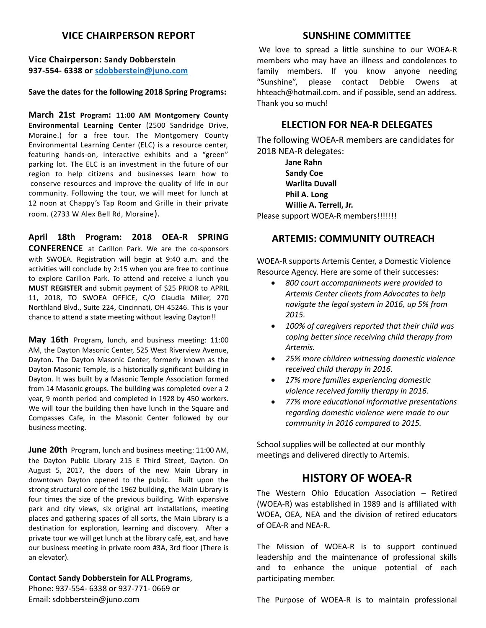# **VICE CHAIRPERSON REPORT**

**Vice Chairperson: Sandy Dobberstein 937-554- 6338 or [sdobberstein@juno.com](mailto:sdobberstein@juno.com)**

#### **Save the dates for the following 2018 Spring Programs:**

**March 21st Program: 11:00 AM Montgomery County Environmental Learning Center** (2500 Sandridge Drive, Moraine.) for a free tour. The Montgomery County Environmental Learning Center (ELC) is a resource center, featuring hands-on, interactive exhibits and a "green" parking lot. The ELC is an investment in the future of our region to help citizens and businesses learn how to conserve resources and improve the quality of life in our community. Following the tour, we will meet for lunch at 12 noon at Chappy's Tap Room and Grille in their private room. (2733 W Alex Bell Rd, Moraine).

**April 18th Program: 2018 OEA-R SPRING CONFERENCE** at Carillon Park. We are the co-sponsors with SWOEA. Registration will begin at 9:40 a.m. and the activities will conclude by 2:15 when you are free to continue to explore Carillon Park. To attend and receive a lunch you **MUST REGISTER** and submit payment of \$25 PRIOR to APRIL 11, 2018, TO SWOEA OFFICE, C/O Claudia Miller, 270 Northland Blvd., Suite 224, Cincinnati, OH 45246. This is your chance to attend a state meeting without leaving Dayton!!

**May 16th** Program, lunch, and business meeting: 11:00 AM, the Dayton Masonic Center, 525 West Riverview Avenue, Dayton. The Dayton Masonic Center, formerly known as the Dayton Masonic Temple, is a historically significant building in Dayton. It was built by a Masonic Temple Association formed from 14 Masonic groups. The building was completed over a 2 year, 9 month period and completed in 1928 by 450 workers. We will tour the building then have lunch in the Square and Compasses Cafe, in the Masonic Center followed by our business meeting.

**June 20th** Program, lunch and business meeting: 11:00 AM, the Dayton Public Library 215 E Third Street, Dayton. On August 5, 2017, the doors of the new Main Library in downtown Dayton opened to the public. Built upon the strong structural core of the 1962 building, the Main Library is four times the size of the previous building. With expansive park and city views, six original art installations, meeting places and gathering spaces of all sorts, the Main Library is a destination for exploration, learning and discovery. After a private tour we will get lunch at the library café, eat, and have our business meeting in private room #3A, 3rd floor (There is an elevator).

#### **Contact Sandy Dobberstein for ALL Programs**,

Phone: 937-554- 6338 or 937-771- 0669 or Email: sdobberstein@juno.com

#### **SUNSHINE COMMITTEE**

We love to spread a little sunshine to our WOEA-R members who may have an illness and condolences to family members. If you know anyone needing "Sunshine", please contact Debbie Owens at hhteach@hotmail.com. and if possible, send an address. Thank you so much!

#### **ELECTION FOR NEA-R DELEGATES**

The following WOEA-R members are candidates for 2018 NEA-R delegates:

**Jane Rahn Sandy Coe Warlita Duvall Phil A. Long Willie A. Terrell, Jr.**  Please support WOEA-R members!!!!!!!!

# **ARTEMIS: COMMUNITY OUTREACH**

WOEA-R supports Artemis Center, a Domestic Violence Resource Agency. Here are some of their successes:

- *800 court accompaniments were provided to Artemis Center clients from Advocates to help navigate the legal system in 2016, up 5% from 2015.*
- *100% of caregivers reported that their child was coping better since receiving child therapy from Artemis.*
- *25% more children witnessing domestic violence received child therapy in 2016.*
- *17% more families experiencing domestic violence received family therapy in 2016.*
- *77% more educational informative presentations regarding domestic violence were made to our community in 2016 compared to 2015.*

School supplies will be collected at our monthly meetings and delivered directly to Artemis.

# **HISTORY OF WOEA-R**

The Western Ohio Education Association – Retired (WOEA-R) was established in 1989 and is affiliated with WOEA, OEA, NEA and the division of retired educators of OEA-R and NEA-R.

The Mission of WOEA-R is to support continued leadership and the maintenance of professional skills and to enhance the unique potential of each participating member.

The Purpose of WOEA-R is to maintain professional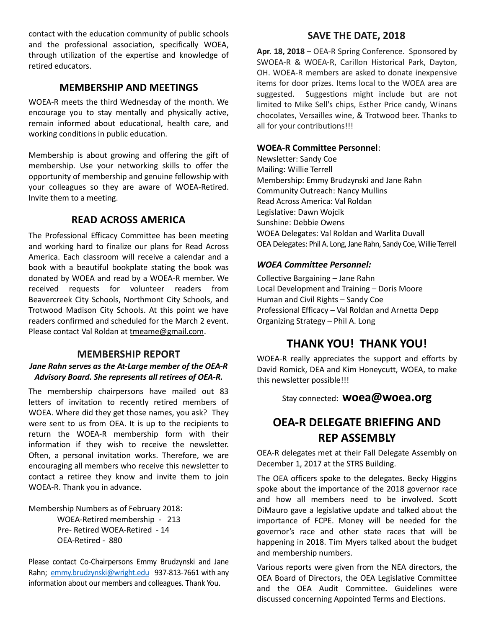contact with the education community of public schools and the professional association, specifically WOEA, through utilization of the expertise and knowledge of retired educators.

### **MEMBERSHIP AND MEETINGS**

WOEA-R meets the third Wednesday of the month. We encourage you to stay mentally and physically active, remain informed about educational, health care, and working conditions in public education.

Membership is about growing and offering the gift of membership. Use your networking skills to offer the opportunity of membership and genuine fellowship with your colleagues so they are aware of WOEA-Retired. Invite them to a meeting.

# **READ ACROSS AMERICA**

The Professional Efficacy Committee has been meeting and working hard to finalize our plans for Read Across America. Each classroom will receive a calendar and a book with a beautiful bookplate stating the book was donated by WOEA and read by a WOEA-R member. We received requests for volunteer readers from Beavercreek City Schools, Northmont City Schools, and Trotwood Madison City Schools. At this point we have readers confirmed and scheduled for the March 2 event. Please contact Val Roldan at [tmeame@gmail.com.](mailto:tmeame@gmail.com)

#### **MEMBERSHIP REPORT**

#### *Jane Rahn serves as the At-Large member of the OEA-R Advisory Board. She represents all retirees of OEA-R.*

The membership chairpersons have mailed out 83 letters of invitation to recently retired members of WOEA. Where did they get those names, you ask? They were sent to us from OEA. It is up to the recipients to return the WOEA-R membership form with their information if they wish to receive the newsletter. Often, a personal invitation works. Therefore, we are encouraging all members who receive this newsletter to contact a retiree they know and invite them to join WOEA-R. Thank you in advance.

Membership Numbers as of February 2018:

WOEA-Retired membership - 213 Pre- Retired WOEA-Retired - 14 OEA-Retired - 880

Please contact Co-Chairpersons Emmy Brudzynski and Jane Rahn; [emmy.brudzynski@wright.edu](mailto:emmy.brudzynski@wright.edu) 937-813-7661 with any information about our members and colleagues. Thank You.

### **SAVE THE DATE, 2018**

**Apr. 18, 2018** – OEA-R Spring Conference. Sponsored by SWOEA-R & WOEA-R, Carillon Historical Park, Dayton, OH. WOEA-R members are asked to donate inexpensive items for door prizes. Items local to the WOEA area are suggested. Suggestions might include but are not limited to Mike Sell's chips, Esther Price candy, Winans chocolates, Versailles wine, & Trotwood beer. Thanks to all for your contributions!!!

#### **WOEA-R Committee Personnel**:

Newsletter: Sandy Coe Mailing: Willie Terrell Membership: Emmy Brudzynski and Jane Rahn Community Outreach: Nancy Mullins Read Across America: Val Roldan Legislative: Dawn Wojcik Sunshine: Debbie Owens WOEA Delegates: Val Roldan and Warlita Duvall OEA Delegates: Phil A. Long, Jane Rahn, Sandy Coe, Willie Terrell

#### *WOEA Committee Personnel:*

Collective Bargaining – Jane Rahn Local Development and Training – Doris Moore Human and Civil Rights – Sandy Coe Professional Efficacy – Val Roldan and Arnetta Depp Organizing Strategy – Phil A. Long

# **THANK YOU! THANK YOU!**

WOEA-R really appreciates the support and efforts by David Romick, DEA and Kim Honeycutt, WOEA, to make this newsletter possible!!!

### Stay connected: **woea@woea.org**

# **OEA-R DELEGATE BRIEFING AND REP ASSEMBLY**

OEA-R delegates met at their Fall Delegate Assembly on December 1, 2017 at the STRS Building.

The OEA officers spoke to the delegates. Becky Higgins spoke about the importance of the 2018 governor race and how all members need to be involved. Scott DiMauro gave a legislative update and talked about the importance of FCPE. Money will be needed for the governor's race and other state races that will be happening in 2018. Tim Myers talked about the budget and membership numbers.

Various reports were given from the NEA directors, the OEA Board of Directors, the OEA Legislative Committee and the OEA Audit Committee. Guidelines were discussed concerning Appointed Terms and Elections.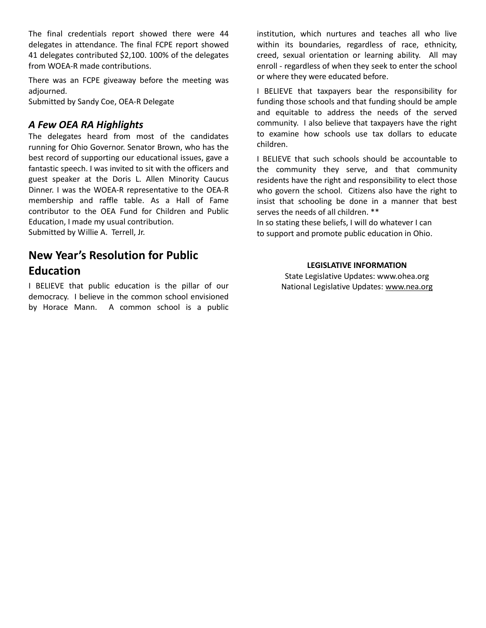The final credentials report showed there were 44 delegates in attendance. The final FCPE report showed 41 delegates contributed \$2,100. 100% of the delegates from WOEA-R made contributions.

There was an FCPE giveaway before the meeting was adjourned.

Submitted by Sandy Coe, OEA-R Delegate

# *A Few OEA RA Highlights*

The delegates heard from most of the candidates running for Ohio Governor. Senator Brown, who has the best record of supporting our educational issues, gave a fantastic speech. I was invited to sit with the officers and guest speaker at the Doris L. Allen Minority Caucus Dinner. I was the WOEA-R representative to the OEA-R membership and raffle table. As a Hall of Fame contributor to the OEA Fund for Children and Public Education, I made my usual contribution. Submitted by Willie A. Terrell, Jr.

# **New Year's Resolution for Public Education**

I BELIEVE that public education is the pillar of our democracy. I believe in the common school envisioned by Horace Mann. A common school is a public institution, which nurtures and teaches all who live within its boundaries, regardless of race, ethnicity, creed, sexual orientation or learning ability. All may enroll - regardless of when they seek to enter the school or where they were educated before.

I BELIEVE that taxpayers bear the responsibility for funding those schools and that funding should be ample and equitable to address the needs of the served community. I also believe that taxpayers have the right to examine how schools use tax dollars to educate children.

I BELIEVE that such schools should be accountable to the community they serve, and that community residents have the right and responsibility to elect those who govern the school. Citizens also have the right to insist that schooling be done in a manner that best serves the needs of all children. \*\*

In so stating these beliefs, I will do whatever I can to support and promote public education in Ohio.

#### **LEGISLATIVE INFORMATION**

State Legislative Updates: www.ohea.org National Legislative Updates: [www.nea.org](http://www.nea.org/)